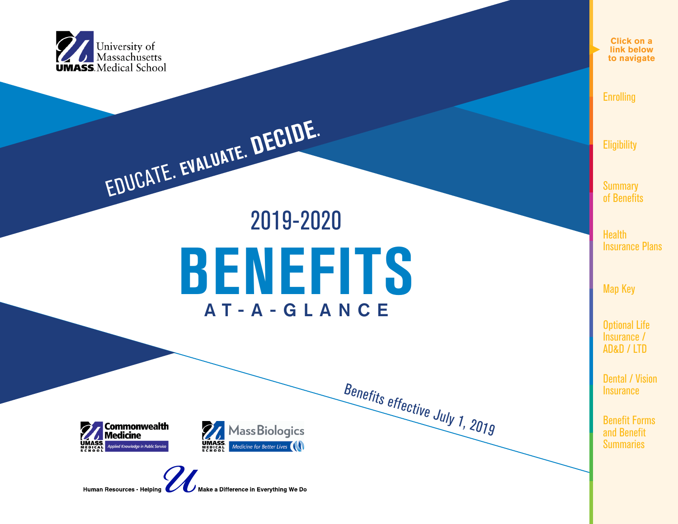

EDUCATE

. EVALUATE.

Click on a link below to navigate<br>the margate of the contract of the contract of the contract of the contract of the contract of the contract of<br>the contract of the contract of the contract of the contract of the contract **link below to navigate**

**[Enrolling](#page-1-0)** 

**[Eligibility](#page-2-0)** 

**Summary** [of Benefits](#page-3-0)

**Health** [Insurance Plans](#page-4-0)

[Map Key](#page-6-0)

[Optional Life](#page-7-0)  Insurance / AD&D / LTD

[Dental / Vision](#page-8-0)  **Insurance** 

[Benefit Forms](#page-8-0)  and Benefit **Summaries** 

# BENEFITS AT-A-GLANCE 2019-2020

**MassBiologics** 

**UMASS.**<br>MEDICAL Medicine for Better Lives

DECIDE

.

Benefits effective July 1, 2019



Make a Difference in Everything We Do Human Resources - Helping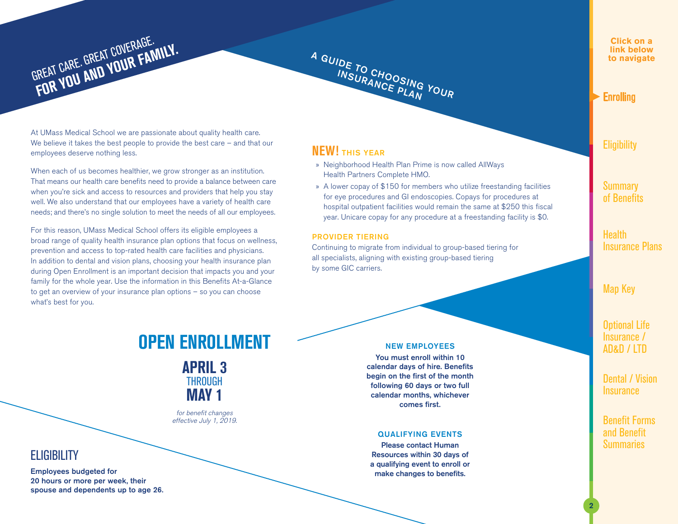At UMass Medical School we are passionate about quality health care. We believe it takes the best people to provide the best care – and that our employees deserve nothing less.

<span id="page-1-0"></span>GREAT CARE. GREAT COVERAGE.

FOR YOU AND YOUR FAMILY.

When each of us becomes healthier, we grow stronger as an institution. That means our health care benefits need to provide a balance between care when you're sick and access to resources and providers that help you stay well. We also understand that our employees have a variety of health care needs; and there's no single solution to meet the needs of all our employees.

For this reason, UMass Medical School offers its eligible employees a broad range of quality health insurance plan options that focus on wellness, prevention and access to top-rated health care facilities and physicians. In addition to dental and vision plans, choosing your health insurance plan during Open Enrollment is an important decision that impacts you and your family for the whole year. Use the information in this Benefits At-a-Glance to get an overview of your insurance plan options – so you can choose what's best for you.

### **NEW! THIS YEAR**

» Neighborhood Health Plan Prime is now called AllWays Health Partners Complete HMO.

A GUIDE TO CHOOSING YOUR

» A lower copay of \$150 for members who utilize freestanding facilities for eye procedures and GI endoscopies. Copays for procedures at hospital outpatient facilities would remain the same at \$250 this fiscal year. Unicare copay for any procedure at a freestanding facility is \$0.

#### PROVIDER TIERING

Continuing to migrate from individual to group-based tiering for all specialists, aligning with existing group-based tiering by some GIC carriers.



calendar days of hire. Benefits begin on the first of the month following 60 days or two full calendar months, whichever comes first.

#### QUALIFYING EVENTS

Please contact Human Resources within 30 days of a qualifying event to enroll or make changes to benefits.

**Click on a link below to navigate**

**Enrolling** 

**[Eligibility](#page-2-0)** 

**Summary** [of Benefits](#page-3-0)

**Health** [Insurance Plans](#page-4-0)

[Map Key](#page-6-0)

[Optional Life](#page-7-0)  Insurance / AD&D / LTD

Dental / Vision **Insurance** 

[Benefit Forms](#page-8-0)  and Benefit **Summaries** 

## OPEN ENROLLMENT NEW EMPLOYEES

APRIL 3 THROUGH MAY 1

for benefit changes effective July 1, 2019.

### **ELIGIBILITY**

Employees budgeted for 20 hours or more per week, their spouse and dependents up to age 26.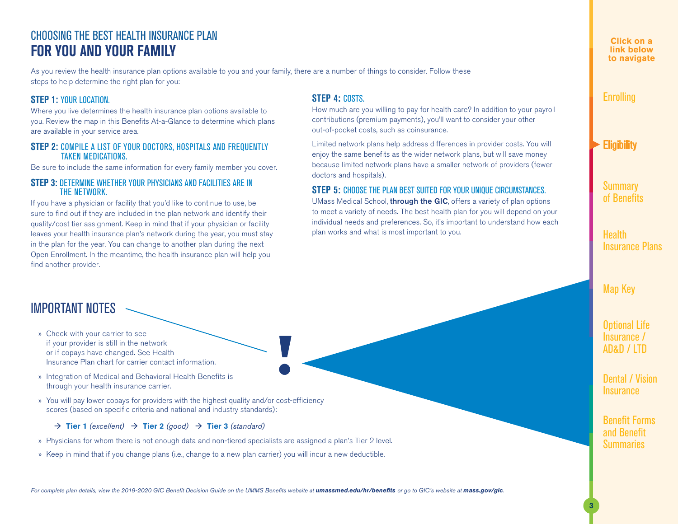### <span id="page-2-0"></span>CHOOSING THE BEST HEALTH INSURANCE PLAN FOR YOU AND YOUR FAMILY

As you review the health insurance plan options available to you and your family, there are a number of things to consider. Follow these steps to help determine the right plan for you:

#### STEP 1: YOUR LOCATION.

Where you live determines the health insurance plan options available to you. Review the map in this Benefits At-a-Glance to determine which plans are available in your service area.

#### STEP 2: COMPILE A LIST OF YOUR DOCTORS, HOSPITALS AND FREQUENTLY TAKEN MEDICATIONS.

Be sure to include the same information for every family member you cover.

#### STEP 3: DETERMINE WHETHER YOUR PHYSICIANS AND FACILITIES ARE IN THE NETWORK.

If you have a physician or facility that you'd like to continue to use, be sure to find out if they are included in the plan network and identify their quality/cost tier assignment. Keep in mind that if your physician or facility leaves your health insurance plan's network during the year, you must stay in the plan for the year. You can change to another plan during the next Open Enrollment. In the meantime, the health insurance plan will help you find another provider.

#### STEP 4: COSTS.

How much are you willing to pay for health care? In addition to your payroll contributions (premium payments), you'll want to consider your other out-of-pocket costs, such as coinsurance.

Limited network plans help address differences in provider costs. You will enjoy the same benefits as the wider network plans, but will save money because limited network plans have a smaller network of providers (fewer doctors and hospitals).

#### STEP 5: CHOOSE THE PLAN BEST SUITED FOR YOUR UNIQUE CIRCUMSTANCES.

UMass Medical School, through the GIC, offers a variety of plan options to meet a variety of needs. The best health plan for you will depend on your individual needs and preferences. So, it's important to understand how each plan works and what is most important to you.

### IMPORTANT NOTES

- » Check with your carrier to see if your provider is still in the network or if copays have changed. See Health Insurance Plan chart for carrier contact information.
- » Integration of Medical and Behavioral Health Benefits is through your health insurance carrier.
- » You will pay lower copays for providers with the highest quality and/or cost-efficiency scores (based on specific criteria and national and industry standards):
	- à **Tier 1** *(excellent)* à **Tier 2** *(good)* à **Tier 3** *(standard)*
- » Physicians for whom there is not enough data and non-tiered specialists are assigned a plan's Tier 2 level.
- » Keep in mind that if you change plans (i.e., change to a new plan carrier) you will incur a new deductible.

#### **Click on a link below to navigate**

### **[Enrolling](#page-1-0)**

### **Eligibility**

**Summary** [of Benefits](#page-3-0)

### **Health** [Insurance Plans](#page-4-0)

### [Map Key](#page-6-0)

[Optional Life](#page-7-0)  Insurance / AD&D / LTD

[Dental / Vision](#page-8-0)  **Insurance**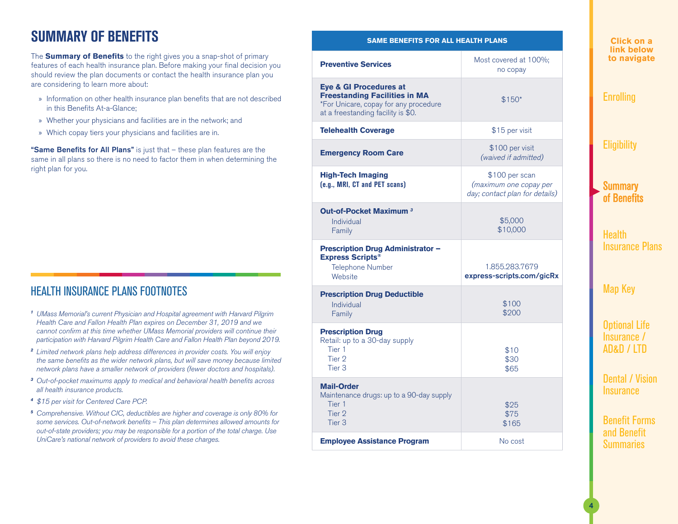### <span id="page-3-0"></span>SUMMARY OF BENEFITS

The **Summary of Benefits** to the right gives you a snap-shot of primary features of each health insurance plan. Before making your final decision you should review the plan documents or contact the health insurance plan you are considering to learn more about:

- » Information on other health insurance plan benefits that are not described in this Benefits At-a-Glance;
- » Whether your physicians and facilities are in the network; and
- » Which copay tiers your physicians and facilities are in.

"Same Benefits for All Plans" is just that - these plan features are the same in all plans so there is no need to factor them in when determining the right plan for you.

### HEALTH INSURANCE PLANS FOOTNOTES

- *<sup>1</sup> UMass Memorial's current Physician and Hospital agreement with Harvard Pilgrim Health Care and Fallon Health Plan expires on December 31, 2019 and we cannot confirm at this time whether UMass Memorial providers will continue their participation with Harvard Pilgrim Health Care and Fallon Health Plan beyond 2019.*
- *<sup>2</sup> Limited network plans help address differences in provider costs. You will enjoy the same benefits as the wider network plans, but will save money because limited network plans have a smaller network of providers (fewer doctors and hospitals).*
- *<sup>3</sup> Out-of-pocket maximums apply to medical and behavioral health benefits across all health insurance products.*
- *<sup>4</sup> \$15 per visit for Centered Care PCP.*
- *<sup>5</sup> Comprehensive. Without CIC, deductibles are higher and coverage is only 80% for some services. Out-of-network benefits – This plan determines allowed amounts for out-of-state providers; you may be responsible for a portion of the total charge. Use UniCare's national network of providers to avoid these charges.*

| <b>SAME BENEFITS FOR ALL HEALTH PLANS</b>                                                                                                                |                                                                            |  |  |  |
|----------------------------------------------------------------------------------------------------------------------------------------------------------|----------------------------------------------------------------------------|--|--|--|
| <b>Preventive Services</b>                                                                                                                               | Most covered at 100%;<br>no copay                                          |  |  |  |
| <b>Eye &amp; GI Procedures at</b><br><b>Freestanding Facilities in MA</b><br>*For Unicare, copay for any procedure<br>at a freestanding facility is \$0. | $$150*$                                                                    |  |  |  |
| <b>Telehealth Coverage</b>                                                                                                                               | \$15 per visit                                                             |  |  |  |
| <b>Emergency Room Care</b>                                                                                                                               | \$100 per visit<br>(waived if admitted)                                    |  |  |  |
| <b>High-Tech Imaging</b><br>(e.g., MRI, CT and PET scans)                                                                                                | \$100 per scan<br>(maximum one copay per<br>day; contact plan for details) |  |  |  |
| Out-of-Pocket Maximum <sup>3</sup><br>Individual<br>Family                                                                                               | \$5,000<br>\$10,000                                                        |  |  |  |
| <b>Prescription Drug Administrator -</b><br><b>Express Scripts®</b><br><b>Telephone Number</b><br>Website                                                | 1.855.283.7679<br>express-scripts.com/gicRx                                |  |  |  |
| <b>Prescription Drug Deductible</b><br>Individual<br>Family                                                                                              | \$100<br>\$200                                                             |  |  |  |
| <b>Prescription Drug</b><br>Retail: up to a 30-day supply<br>Tier 1<br>Tier 2<br>Tier <sub>3</sub>                                                       | \$10<br>\$30<br>\$65                                                       |  |  |  |
| <b>Mail-Order</b><br>Maintenance drugs: up to a 90-day supply<br>Tier 1<br>Tier <sub>2</sub><br>Tier <sub>3</sub>                                        | \$25<br>\$75<br>\$165                                                      |  |  |  |
| <b>Employee Assistance Program</b>                                                                                                                       | No cost                                                                    |  |  |  |

**Click on a link below to navigate**

**[Enrolling](#page-1-0)** 

### **[Eligibility](#page-2-0)**

Summary of Benefits

**Health** [Insurance Plans](#page-4-0)

### [Map Key](#page-6-0)

[Optional Life](#page-7-0)  Insurance / AD&D / LTD

[Dental / Vision](#page-8-0)  **Insurance**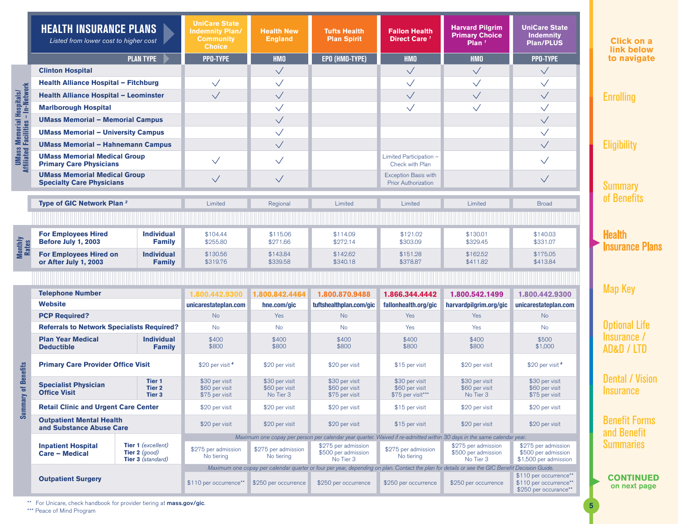<span id="page-4-0"></span>

|                                                                 | <b>HEALTH INSURANCE PLANS</b><br>Listed from lower cost to higher cost  |                                                                   | <b>UniCare State</b><br><b>Indemnity Plan/</b><br><b>Community</b><br><b>Choice</b> | <b>Health New</b><br><b>England</b>           | <b>Tufts Health</b><br><b>Plan Spirit</b>               | <b>Fallon Health</b><br>Direct Care <sup>1</sup>          | <b>Harvard Pilgrim</b><br><b>Primary Choice</b><br>Plan <sup>1</sup>                                                                            | <b>UniCare State</b><br><b>Indemnity</b><br><b>Plan/PLUS</b>              |
|-----------------------------------------------------------------|-------------------------------------------------------------------------|-------------------------------------------------------------------|-------------------------------------------------------------------------------------|-----------------------------------------------|---------------------------------------------------------|-----------------------------------------------------------|-------------------------------------------------------------------------------------------------------------------------------------------------|---------------------------------------------------------------------------|
|                                                                 |                                                                         | <b>PLAN TYPE</b>                                                  | <b>PPO-TYPE</b>                                                                     | <b>HMO</b>                                    | EPO (HMO-TYPE)                                          | <b>HMO</b>                                                | <b>HMO</b>                                                                                                                                      | <b>PPO-TYPE</b>                                                           |
|                                                                 | <b>Clinton Hospital</b>                                                 |                                                                   |                                                                                     | $\checkmark$                                  |                                                         | $\checkmark$                                              | $\checkmark$                                                                                                                                    | $\checkmark$                                                              |
|                                                                 | <b>Health Alliance Hospital - Fitchburg</b>                             |                                                                   | $\checkmark$                                                                        | $\checkmark$                                  |                                                         | $\checkmark$                                              | $\checkmark$                                                                                                                                    | $\checkmark$                                                              |
|                                                                 | <b>Health Alliance Hospital - Leominster</b>                            |                                                                   | $\checkmark$                                                                        | $\checkmark$                                  |                                                         | $\checkmark$                                              | $\checkmark$                                                                                                                                    | $\checkmark$                                                              |
|                                                                 | <b>Marlborough Hospital</b>                                             |                                                                   |                                                                                     | $\checkmark$                                  |                                                         | $\checkmark$                                              | $\checkmark$                                                                                                                                    | $\checkmark$                                                              |
|                                                                 | <b>UMass Memorial - Memorial Campus</b>                                 |                                                                   |                                                                                     | $\checkmark$                                  |                                                         |                                                           |                                                                                                                                                 | $\checkmark$                                                              |
|                                                                 | <b>UMass Memorial - University Campus</b>                               |                                                                   |                                                                                     | $\checkmark$                                  |                                                         |                                                           |                                                                                                                                                 | $\checkmark$                                                              |
|                                                                 | <b>UMass Memorial - Hahnemann Campus</b>                                |                                                                   |                                                                                     | $\checkmark$                                  |                                                         |                                                           |                                                                                                                                                 | $\checkmark$                                                              |
| UMass Memorial Hospitals/<br>Affiliated Facilities - In-Network | <b>UMass Memorial Medical Group</b><br><b>Primary Care Physicians</b>   |                                                                   | $\checkmark$                                                                        | $\checkmark$                                  |                                                         | Limited Participation -<br>Check with Plan                |                                                                                                                                                 | $\checkmark$                                                              |
|                                                                 | <b>UMass Memorial Medical Group</b><br><b>Specialty Care Physicians</b> |                                                                   | $\checkmark$                                                                        | $\checkmark$                                  |                                                         | <b>Exception Basis with</b><br><b>Prior Authorization</b> |                                                                                                                                                 | $\checkmark$                                                              |
|                                                                 | Type of GIC Network Plan <sup>2</sup>                                   |                                                                   | Limited                                                                             | Regional                                      | Limited                                                 | Limited                                                   | Limited                                                                                                                                         | <b>Broad</b>                                                              |
|                                                                 |                                                                         |                                                                   |                                                                                     |                                               |                                                         |                                                           |                                                                                                                                                 |                                                                           |
|                                                                 | <b>For Employees Hired</b><br>Before July 1, 2003                       | <b>Individual</b><br><b>Family</b>                                | \$104.44<br>\$255.80                                                                | \$115.06<br>\$271.66                          | \$114.09<br>\$272.14                                    | \$121.02<br>\$303.09                                      | \$130.01<br>\$329.45                                                                                                                            | \$140.03<br>\$331.07                                                      |
| <b>Monthly</b><br>Rates                                         | <b>For Employees Hired on</b><br>or After July 1, 2003                  | <b>Individual</b><br><b>Family</b>                                | \$130.56<br>\$319.76                                                                | \$143.84<br>\$339.58                          | \$142.62<br>\$340.18                                    | \$151.28<br>\$378.87                                      | \$162.52<br>\$411.82                                                                                                                            | \$175.05<br>\$413.84                                                      |
|                                                                 |                                                                         |                                                                   |                                                                                     |                                               |                                                         |                                                           |                                                                                                                                                 |                                                                           |
|                                                                 | <b>Telephone Number</b>                                                 |                                                                   | 1.800.442.9300                                                                      | 1.800.842.4464                                | 1.800.870.9488                                          | 1.866.344.4442                                            | 1.800.542.1499                                                                                                                                  | 1.800.442.9300                                                            |
|                                                                 | <b>Website</b>                                                          |                                                                   | unicarestateplan.com                                                                | hne.com/gic                                   | tuftshealthplan.com/gic                                 | fallonhealth.org/gic                                      | harvardpilgrim.org/gic                                                                                                                          | unicarestateplan.com                                                      |
|                                                                 | <b>PCP Required?</b>                                                    |                                                                   | <b>No</b>                                                                           | Yes                                           | <b>No</b>                                               | <b>Yes</b>                                                | Yes                                                                                                                                             | <b>No</b>                                                                 |
|                                                                 | <b>Referrals to Network Specialists Required?</b>                       |                                                                   | <b>No</b>                                                                           | <b>No</b>                                     | <b>No</b>                                               | Yes                                                       | Yes                                                                                                                                             | <b>No</b>                                                                 |
|                                                                 | <b>Plan Year Medical</b><br><b>Deductible</b>                           | <b>Individual</b><br><b>Family</b>                                | \$400<br>\$800                                                                      | \$400<br>\$800                                | \$400<br>\$800                                          | \$400<br>\$800                                            | \$400<br>\$800                                                                                                                                  | \$500<br>\$1,000                                                          |
|                                                                 | <b>Primary Care Provider Office Visit</b>                               |                                                                   | \$20 per visit 4                                                                    | \$20 per visit                                | \$20 per visit                                          | \$15 per visit                                            | \$20 per visit                                                                                                                                  | \$20 per visit 4                                                          |
| of Benefits<br>ð                                                | <b>Specialist Physician</b><br><b>Office Visit</b>                      | Tier 1<br>Tier 2<br>Tier 3                                        | \$30 per visit<br>\$60 per visit<br>\$75 per visit                                  | \$30 per visit<br>\$60 per visit<br>No Tier 3 | \$30 per visit<br>\$60 per visit<br>\$75 per visit      | \$30 per visit<br>\$60 per visit<br>\$75 per visit***     | \$30 per visit<br>\$60 per visit<br>No Tier 3                                                                                                   | \$30 per visit<br>\$60 per visit<br>\$75 per visit                        |
|                                                                 | <b>Retail Clinic and Urgent Care Center</b>                             |                                                                   | \$20 per visit                                                                      | \$20 per visit                                | \$20 per visit                                          | \$15 per visit                                            | \$20 per visit                                                                                                                                  | \$20 per visit                                                            |
| Summa                                                           | <b>Outpatient Mental Health</b><br>and Substance Abuse Care             |                                                                   | \$20 per visit                                                                      | \$20 per visit                                | \$20 per visit                                          | \$15 per visit                                            | \$20 per visit                                                                                                                                  | \$20 per visit                                                            |
|                                                                 |                                                                         |                                                                   |                                                                                     |                                               |                                                         |                                                           | Maximum one copay per person per calendar year quarter. Waived if re-admitted within 30 days in the same calendar year.                         |                                                                           |
|                                                                 | <b>Inpatient Hospital</b><br><b>Care - Medical</b>                      | <b>Tier 1</b> (excellent)<br>Tier $2$ (good)<br>Tier 3 (standard) | \$275 per admission<br>No tiering                                                   | \$275 per admission<br>No tiering             | \$275 per admission<br>\$500 per admission<br>No Tier 3 | \$275 per admission<br>No tiering                         | \$275 per admission<br>\$500 per admission<br>No Tier 3                                                                                         | \$275 per admission<br>\$500 per admission<br>\$1,500 per admission       |
|                                                                 |                                                                         |                                                                   |                                                                                     |                                               |                                                         |                                                           | Maximum one copay per calendar quarter or four per year, depending on plan. Contact the plan for details or see the GIC Benefit Decision Guide. |                                                                           |
|                                                                 | <b>Outpatient Surgery</b>                                               |                                                                   | \$110 per occurrence**                                                              | \$250 per occurrence                          | \$250 per occurrence                                    | \$250 per occurrence                                      | \$250 per occurrence                                                                                                                            | \$110 per occurrence**<br>\$110 per occurrence**<br>\$250 per occurance** |

**Click on a link below to navigate**

[Enrolling](#page-1-0)

**[Eligibility](#page-2-0)** 

**Summary** [of Benefits](#page-3-0)

**Health** Insurance Plans

[Map Key](#page-6-0)

[Optional Life](#page-7-0)  Insurance / AD&D / LTD

[Dental / Vision](#page-8-0)  **Insurance** 

[Benefit Forms](#page-8-0)  and Benefit **Summaries** 

**[CONTINUED](#page-5-0)** on next page

For Unicare, check handbook for provider tiering at mass.gov/gio.

\*\*\* Peace of Mind Program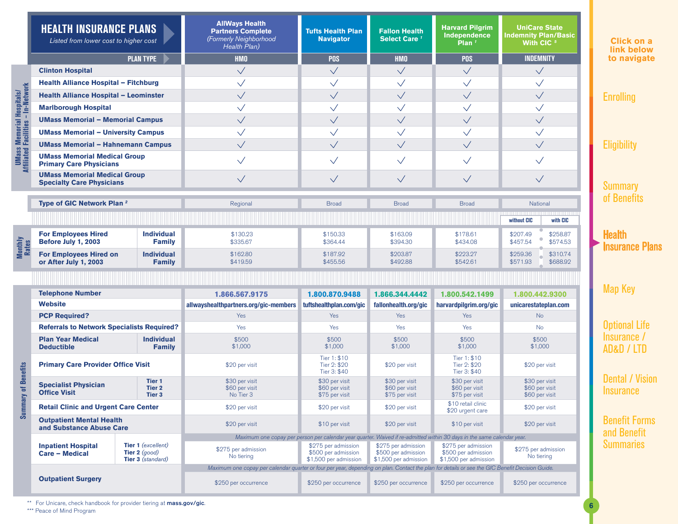<span id="page-5-0"></span>

|                           | <b>HEALTH INSURANCE PLANS</b><br>Listed from lower cost to higher cost  | <b>AllWays Health</b><br><b>Partners Complete</b><br>(Formerly Neighborhood<br>Health Plan) | <b>Tufts Health Plan</b><br><b>Navigator</b> | <b>Fallon Health</b><br>Select Care <sup>1</sup> | <b>Harvard Pilgrim</b><br>Independence<br>Plan <sup>1</sup> | <b>UniCare State</b><br><b>Indemnity Plan/Basic</b><br>With CIC <sup>5</sup> |
|---------------------------|-------------------------------------------------------------------------|---------------------------------------------------------------------------------------------|----------------------------------------------|--------------------------------------------------|-------------------------------------------------------------|------------------------------------------------------------------------------|
|                           | <b>PLAN TYPE</b>                                                        | <b>HMO</b>                                                                                  | <b>POS</b>                                   | <b>HMO</b>                                       | <b>POS</b>                                                  | <b>INDEMNITY</b>                                                             |
|                           | <b>Clinton Hospital</b>                                                 |                                                                                             |                                              |                                                  |                                                             |                                                                              |
|                           | <b>Health Alliance Hospital - Fitchburg</b>                             |                                                                                             |                                              |                                                  |                                                             |                                                                              |
| Hospitals/<br>- In-Netwo  | <b>Health Alliance Hospital - Leominster</b>                            |                                                                                             |                                              |                                                  |                                                             |                                                                              |
|                           | <b>Marlborough Hospital</b>                                             |                                                                                             |                                              |                                                  |                                                             |                                                                              |
| $\frac{1}{\sin \theta}$   | <b>UMass Memorial - Memorial Campus</b>                                 |                                                                                             |                                              |                                                  |                                                             |                                                                              |
| Memor<br>Faciliti         | <b>UMass Memorial - University Campus</b>                               |                                                                                             |                                              |                                                  |                                                             |                                                                              |
|                           | <b>UMass Memorial - Hahnemann Campus</b>                                |                                                                                             |                                              |                                                  |                                                             |                                                                              |
| <b>UMass</b><br>ffiliated | <b>UMass Memorial Medical Group</b><br><b>Primary Care Physicians</b>   |                                                                                             |                                              |                                                  |                                                             |                                                                              |
|                           | <b>UMass Memorial Medical Group</b><br><b>Specialty Care Physicians</b> |                                                                                             |                                              |                                                  |                                                             |                                                                              |

| Type of GIC Network Plan <sup>2</sup>                  |                                    | Regional             | <b>Broad</b>         | <b>Broad</b>         | <b>Broad</b>         | National             |                      |
|--------------------------------------------------------|------------------------------------|----------------------|----------------------|----------------------|----------------------|----------------------|----------------------|
|                                                        |                                    |                      |                      |                      |                      | without CIC          | with CIC             |
| <b>For Employees Hired</b><br>Before July 1, 2003      | <b>Individual</b><br><b>Family</b> | \$130.23<br>\$335.67 | \$150.33<br>\$364.44 | \$163.09<br>\$394.30 | \$178.61<br>\$434.08 | \$207.49<br>\$457.54 | \$258.87<br>\$574.53 |
| <b>For Employees Hired on</b><br>or After July 1, 2003 | <b>Individual</b><br><b>Family</b> | \$162.80<br>\$419.59 | \$187.92<br>\$455.56 | \$203.87<br>\$492.88 | \$223.27<br>\$542.61 | \$259.36<br>\$571.93 | \$310.74<br>\$688.92 |
|                                                        |                                    |                      |                      |                      |                      |                      |                      |

|                            | <b>Telephone Number</b>                                     |                                                                          | 1.866.567.9175                                                                                                                                  | 1.800.870.9488                                                      | 1.866.344.4442                                                      | 1.800.542.1499                                                      | 1.800.442.9300                                     |  |
|----------------------------|-------------------------------------------------------------|--------------------------------------------------------------------------|-------------------------------------------------------------------------------------------------------------------------------------------------|---------------------------------------------------------------------|---------------------------------------------------------------------|---------------------------------------------------------------------|----------------------------------------------------|--|
|                            | <b>Website</b>                                              |                                                                          | allwayshealthpartners.org/gic-members                                                                                                           | tuftshealthplan.com/gic                                             | fallonhealth.org/gic                                                | harvardpilgrim.org/gic                                              | unicarestateplan.com                               |  |
|                            | <b>PCP Required?</b>                                        |                                                                          | Yes                                                                                                                                             | <b>Yes</b>                                                          | <b>Yes</b>                                                          | <b>Yes</b>                                                          | N <sub>o</sub>                                     |  |
|                            | <b>Referrals to Network Specialists Required?</b>           |                                                                          | Yes                                                                                                                                             | Yes                                                                 | Yes                                                                 | Yes                                                                 | <b>No</b>                                          |  |
|                            | <b>Plan Year Medical</b><br><b>Deductible</b>               | <b>Individual</b><br><b>Family</b>                                       | \$500<br>\$1,000                                                                                                                                | \$500<br>\$1,000                                                    | \$500<br>\$1,000                                                    | \$500<br>\$1,000                                                    | \$500<br>\$1,000                                   |  |
| <b>Summary of Benefits</b> | <b>Primary Care Provider Office Visit</b>                   |                                                                          | \$20 per visit                                                                                                                                  | Tier 1: \$10<br>Tier 2: \$20<br>Tier 3: \$40                        | \$20 per visit                                                      | Tier 1: \$10<br>Tier 2: \$20<br>Tier 3: \$40                        | \$20 per visit                                     |  |
|                            | <b>Specialist Physician</b><br><b>Office Visit</b>          | Tier <sub>1</sub><br><b>Tier 2</b><br>Tier 3                             | \$30 per visit<br>\$60 per visit<br>No Tier 3                                                                                                   | \$30 per visit<br>\$60 per visit<br>\$75 per visit                  | \$30 per visit<br>\$60 per visit<br>\$75 per visit                  | \$30 per visit<br>\$60 per visit<br>\$75 per visit                  | \$30 per visit<br>\$60 per visit<br>\$60 per visit |  |
|                            | <b>Retail Clinic and Urgent Care Center</b>                 |                                                                          | \$20 per visit                                                                                                                                  | \$20 per visit                                                      | \$20 per visit                                                      | \$10 retail clinic<br>\$20 urgent care                              | \$20 per visit                                     |  |
|                            | <b>Outpatient Mental Health</b><br>and Substance Abuse Care |                                                                          | \$20 per visit                                                                                                                                  | \$10 per visit                                                      | \$20 per visit                                                      | \$10 per visit                                                      | \$20 per visit                                     |  |
|                            |                                                             |                                                                          | Maximum one copay per person per calendar year quarter. Waived if re-admitted within 30 days in the same calendar year.                         |                                                                     |                                                                     |                                                                     |                                                    |  |
|                            | <b>Inpatient Hospital</b><br><b>Care - Medical</b>          | <b>Tier 1</b> (excellent)<br>Tier $2$ (good)<br><b>Tier 3</b> (standard) | \$275 per admission<br>No tiering                                                                                                               | \$275 per admission<br>\$500 per admission<br>\$1,500 per admission | \$275 per admission<br>\$500 per admission<br>\$1,500 per admission | \$275 per admission<br>\$500 per admission<br>\$1,500 per admission | \$275 per admission<br>No tiering                  |  |
|                            |                                                             |                                                                          | Maximum one copay per calendar quarter or four per year, depending on plan. Contact the plan for details or see the GIC Benefit Decision Guide. |                                                                     |                                                                     |                                                                     |                                                    |  |
|                            | <b>Outpatient Surgery</b>                                   |                                                                          | \$250 per occurrence                                                                                                                            | \$250 per occurrence                                                | \$250 per occurrence                                                | \$250 per occurrence                                                | \$250 per occurrence                               |  |

### **Click on a link below to navigate**

**[Enrolling](#page-1-0)** 

### **[Eligibility](#page-2-0)**

**Summary** [of Benefits](#page-3-0)

### **Health** [Insurance Plans](#page-4-0)

[Map Key](#page-6-0)

[Optional Life](#page-7-0)  Insurance / AD&D / LTD

[Dental / Vision](#page-8-0)  **Insurance** 

[Benefit Forms](#page-8-0)  and Benefit **Summaries** 

\*\* For Unicare, check handbook for provider tiering at [mass.gov/gic](http://mass.gov/gic).

\*\*\* Peace of Mind Program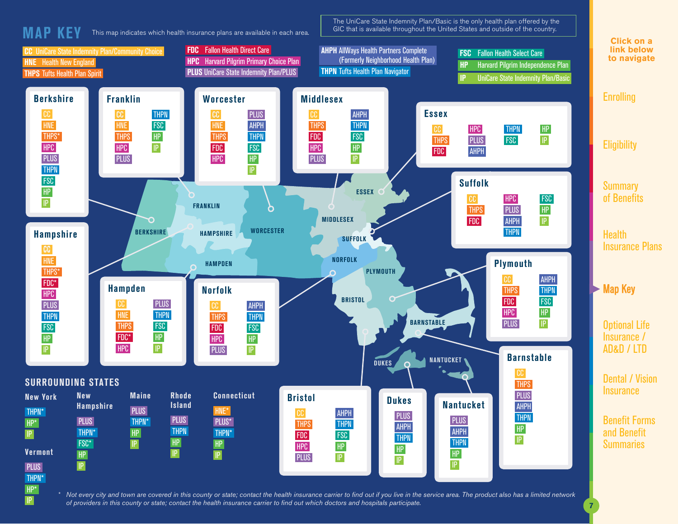<span id="page-6-0"></span>

*of providers in this county or state; contact the health insurance carrier to find out which doctors and hospitals participate.*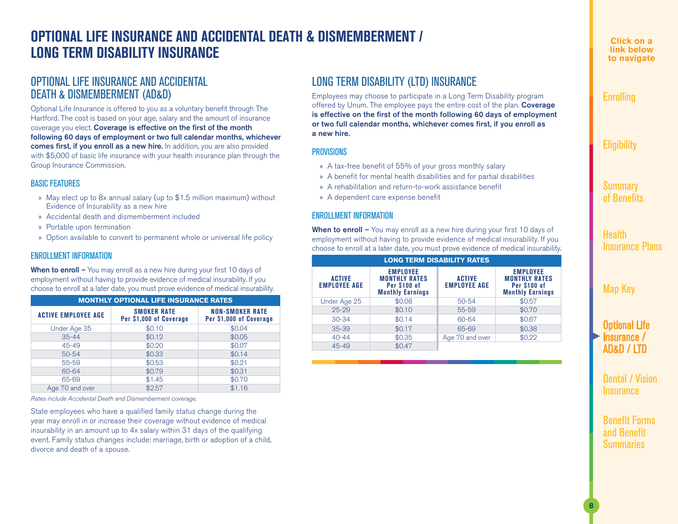### <span id="page-7-0"></span>OPTIONAL LIFE INSURANCE AND ACCIDENTAL DEATH & DISMEMBERMENT / LONG TERM DISABILITY INSURANCE

### OPTIONAL LIFE INSURANCE AND ACCIDENTAL DEATH & DISMEMBERMENT (AD&D)

Optional Life Insurance is offered to you as a voluntary benefit through The Hartford. The cost is based on your age, salary and the amount of insurance coverage you elect. Coverage is effective on the first of the month following 60 days of employment or two full calendar months, whichever comes first, if you enroll as a new hire. In addition, you are also provided with \$5,000 of basic life insurance with your health insurance plan through the Group Insurance Commission.

#### BASIC FEATURES

- » May elect up to 8x annual salary (up to \$1.5 million maximum) without Evidence of Insurability as a new hire
- » Accidental death and dismemberment included
- » Portable upon termination
- » Option available to convert to permanent whole or universal life policy

#### ENROLLMENT INFORMATION

When to enroll - You may enroll as a new hire during your first 10 days of employment without having to provide evidence of medical insurability. If you choose to enroll at a later date, you must prove evidence of medical insurability.

| <b>MONTHLY OPTIONAL LIFE INSURANCE RATES</b> |                                               |                                                   |  |  |  |  |
|----------------------------------------------|-----------------------------------------------|---------------------------------------------------|--|--|--|--|
| <b>ACTIVE EMPLOYEE AGE</b>                   | <b>SMOKER RATE</b><br>Per \$1,000 of Coverage | <b>NON-SMOKER RATE</b><br>Per \$1,000 of Coverage |  |  |  |  |
| Under Age 35                                 | \$0.10                                        | \$0.04                                            |  |  |  |  |
| $35 - 44$                                    | \$0.12                                        | \$0.05                                            |  |  |  |  |
| 45-49                                        | \$0.20                                        | \$0.07                                            |  |  |  |  |
| $50 - 54$                                    | \$0.33                                        | \$0.14                                            |  |  |  |  |
| 55-59                                        | \$0.53                                        | \$0.21                                            |  |  |  |  |
| 60-64                                        | \$0.79                                        | \$0.31                                            |  |  |  |  |
| 65-69                                        | \$1.45                                        | \$0.70                                            |  |  |  |  |
| Age 70 and over                              | \$2.57                                        | \$1.16                                            |  |  |  |  |

*Rates include Accidental Death and Dismemberment coverage.* 

State employees who have a qualified family status change during the year may enroll in or increase their coverage without evidence of medical insurability in an amount up to 4x salary within 31 days of the qualifying event. Family status changes include: marriage, birth or adoption of a child, divorce and death of a spouse.

### LONG TERM DISABILITY (LTD) INSURANCE

Employees may choose to participate in a Long Term Disability program offered by Unum. The employee pays the entire cost of the plan. Coverage is effective on the first of the month following 60 days of employment or two full calendar months, whichever comes first, if you enroll as a new hire.

#### **PROVISIONS**

- » A tax-free benefit of 55% of your gross monthly salary
- » A benefit for mental health disabilities and for partial disabilities
- » A rehabilitation and return-to-work assistance benefit
- » A dependent care expense benefit

#### ENROLLMENT INFORMATION

When to enroll – You may enroll as a new hire during your first 10 days of employment without having to provide evidence of medical insurability. If you choose to enroll at a later date, you must prove evidence of medical insurability.

| <b>EMPLOYEE</b><br><b>EMPLOYEE</b><br><b>MONTHLY RATES</b><br><b>MONTHLY RATES</b><br><b>ACTIVE</b><br><b>ACTIVE</b><br><b>Per \$100 of</b><br><b>Per \$100 of</b><br><b>EMPLOYEE AGE</b><br><b>EMPLOYEE AGE</b><br><b>Monthly Earnings</b><br><b>Monthly Earnings</b><br>\$0.08<br>\$0.57<br>Under Age 25<br>50-54<br>\$0.10<br>$25 - 29$<br>\$0.70<br>55-59<br>\$0.14<br>\$0.67<br>$30 - 34$<br>60-64<br>\$0.17<br>65-69<br>\$0.38<br>$35 - 39$<br>\$0.22<br>\$0.35<br>$40 - 44$<br>Age 70 and over | <b>LONG TERM DISABILITY RATES</b> |        |  |  |  |  |  |
|-------------------------------------------------------------------------------------------------------------------------------------------------------------------------------------------------------------------------------------------------------------------------------------------------------------------------------------------------------------------------------------------------------------------------------------------------------------------------------------------------------|-----------------------------------|--------|--|--|--|--|--|
|                                                                                                                                                                                                                                                                                                                                                                                                                                                                                                       |                                   |        |  |  |  |  |  |
|                                                                                                                                                                                                                                                                                                                                                                                                                                                                                                       |                                   |        |  |  |  |  |  |
|                                                                                                                                                                                                                                                                                                                                                                                                                                                                                                       |                                   |        |  |  |  |  |  |
|                                                                                                                                                                                                                                                                                                                                                                                                                                                                                                       |                                   |        |  |  |  |  |  |
|                                                                                                                                                                                                                                                                                                                                                                                                                                                                                                       |                                   |        |  |  |  |  |  |
|                                                                                                                                                                                                                                                                                                                                                                                                                                                                                                       |                                   |        |  |  |  |  |  |
|                                                                                                                                                                                                                                                                                                                                                                                                                                                                                                       | $45 - 49$                         | \$0.47 |  |  |  |  |  |

**Click on a link below to navigate**

### **[Enrolling](#page-1-0)**

**[Eligibility](#page-2-0)** 

Summary [of Benefits](#page-3-0)

**Health** [Insurance Plans](#page-4-0)

### [Map Key](#page-6-0)

Optional Life Insurance / AD&D / LTD

[Dental / Vision](#page-8-0)  **Insurance**